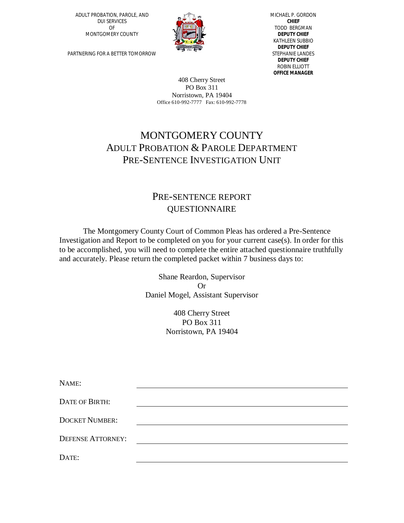ADULT PROBATION, PAROLE, AND DUI SERVICES OF MONTGOMERY COUNTY



MICHAEL P. GORDON **CHIEF** TODD BERGMAN **DEPUTY CHIEF** KATHLEEN SUBBIO **DEPUTY CHIEF** STEPHANIE LANDES **DEPUTY CHIEF** ROBIN ELLIOTT **OFFICE MANAGER**

PARTNERING FOR A BETTER TOMORROW

408 Cherry Street PO Box 311 Norristown, PA 19404 Office 610-992-7777 Fax: 610-992-7778

## MONTGOMERY COUNTY ADULT PROBATION & PAROLE DEPARTMENT PRE-SENTENCE INVESTIGATION UNIT

## PRE-SENTENCE REPORT QUESTIONNAIRE

The Montgomery County Court of Common Pleas has ordered a Pre-Sentence Investigation and Report to be completed on you for your current case(s). In order for this to be accomplished, you will need to complete the entire attached questionnaire truthfully and accurately. Please return the completed packet within 7 business days to:

> Shane Reardon, Supervisor Or Daniel Mogel, Assistant Supervisor

> > 408 Cherry Street PO Box 311 Norristown, PA 19404

| NAME:                    |  |
|--------------------------|--|
| <b>DATE OF BIRTH:</b>    |  |
| <b>DOCKET NUMBER:</b>    |  |
| <b>DEFENSE ATTORNEY:</b> |  |
| DATE:                    |  |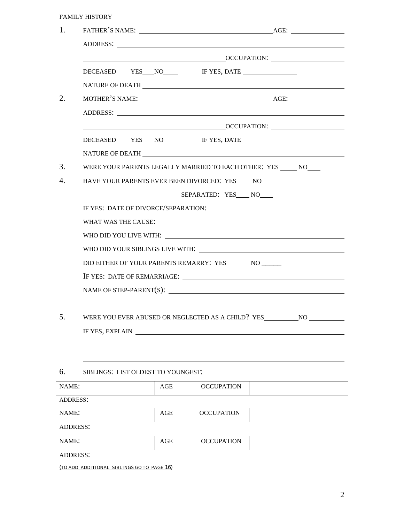|--|

| DECEASED YES NO IF YES, DATE<br>NATURE OF DEATH                                                                                                                                                            | OCCUPATION:              |
|------------------------------------------------------------------------------------------------------------------------------------------------------------------------------------------------------------|--------------------------|
|                                                                                                                                                                                                            |                          |
|                                                                                                                                                                                                            |                          |
|                                                                                                                                                                                                            |                          |
|                                                                                                                                                                                                            |                          |
| ADDRESS: ADDRESS:                                                                                                                                                                                          |                          |
| <b>CONSERVATION: CONSERVATION: CONSERVATION: CONSERVATION: CONSERVATION: CONSERVATION: CONSERVATION: CONSERVATION: CONSERVATION: CONSERVATION: CONSERVATION: CONSERVATION: CONSERVATION: CONSERVATION:</b> |                          |
| DECEASED YES NO IF YES, DATE                                                                                                                                                                               |                          |
|                                                                                                                                                                                                            |                          |
| WERE YOUR PARENTS LEGALLY MARRIED TO EACH OTHER: YES ______ NO____                                                                                                                                         |                          |
| HAVE YOUR PARENTS EVER BEEN DIVORCED: YES NO                                                                                                                                                               |                          |
|                                                                                                                                                                                                            | SEPARATED: YES____ NO___ |
|                                                                                                                                                                                                            |                          |
|                                                                                                                                                                                                            |                          |
|                                                                                                                                                                                                            |                          |
|                                                                                                                                                                                                            |                          |
|                                                                                                                                                                                                            |                          |
|                                                                                                                                                                                                            |                          |
|                                                                                                                                                                                                            |                          |
|                                                                                                                                                                                                            |                          |
| WERE YOU EVER ABUSED OR NEGLECTED AS A CHILD? YES _______________________________                                                                                                                          |                          |
| IF YES, EXPLAIN                                                                                                                                                                                            |                          |

## 6. SIBLINGS: LIST OLDEST TO YOUNGEST:

| NAME:           | AGE | <b>OCCUPATION</b> |  |
|-----------------|-----|-------------------|--|
| <b>ADDRESS:</b> |     |                   |  |
| NAME:           | AGE | <b>OCCUPATION</b> |  |
| ADDRESS:        |     |                   |  |
| NAME:           | AGE | <b>OCCUPATION</b> |  |
| <b>ADDRESS:</b> |     |                   |  |

(TO ADD ADDITIONAL SIBLINGS GO TO PAGE 16)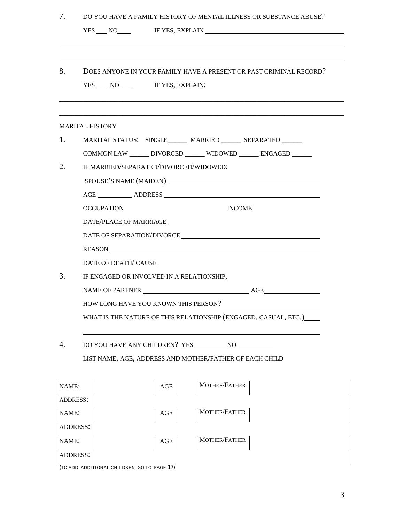| 7.              | DO YOU HAVE A FAMILY HISTORY OF MENTAL ILLNESS OR SUBSTANCE ABUSE? |
|-----------------|--------------------------------------------------------------------|
|                 | YES NO IF YES, EXPLAIN                                             |
|                 |                                                                    |
|                 |                                                                    |
| 8.              | DOES ANYONE IN YOUR FAMILY HAVE A PRESENT OR PAST CRIMINAL RECORD? |
|                 | YES NO IF YES, EXPLAIN:                                            |
|                 |                                                                    |
|                 |                                                                    |
|                 | <b>MARITAL HISTORY</b>                                             |
| 1.              | MARITAL STATUS: SINGLE______ MARRIED ______ SEPARATED _____        |
|                 | COMMON LAW ______ DIVORCED ______ WIDOWED ______ ENGAGED _____     |
| 2.              | IF MARRIED/SEPARATED/DIVORCED/WIDOWED:                             |
|                 |                                                                    |
|                 |                                                                    |
|                 | OCCUPATION NOCCUPATION                                             |
|                 |                                                                    |
|                 | DATE OF SEPARATION/DIVORCE                                         |
|                 | REASON                                                             |
|                 |                                                                    |
| 3.              | IF ENGAGED OR INVOLVED IN A RELATIONSHIP,                          |
|                 |                                                                    |
|                 |                                                                    |
|                 | WHAT IS THE NATURE OF THIS RELATIONSHIP (ENGAGED, CASUAL, ETC.)    |
|                 |                                                                    |
| 4.              |                                                                    |
|                 | LIST NAME, AGE, ADDRESS AND MOTHER/FATHER OF EACH CHILD            |
|                 |                                                                    |
| NAME:           | MOTHER/FATHER<br>AGE                                               |
| <b>ADDRESS:</b> |                                                                    |
| NAME:           | MOTHER/FATHER<br>AGE                                               |
| <b>ADDRESS:</b> |                                                                    |
| NAME:           | MOTHER/FATHER<br>AGE                                               |
| <b>ADDRESS:</b> |                                                                    |
|                 |                                                                    |

(TO ADD ADDITIONAL CHILDREN GO TO PAGE 17)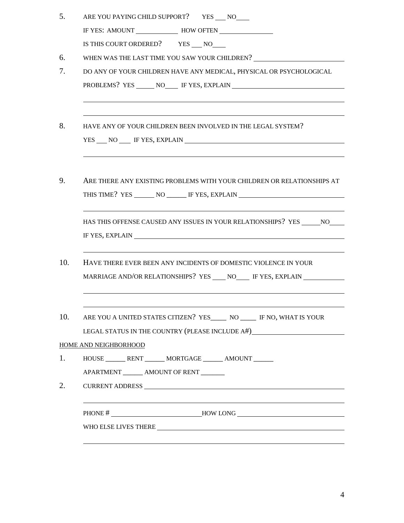| 5.  | ARE YOU PAYING CHILD SUPPORT? YES ___ NO                                                                                                                                                                                                                                                          |
|-----|---------------------------------------------------------------------------------------------------------------------------------------------------------------------------------------------------------------------------------------------------------------------------------------------------|
|     |                                                                                                                                                                                                                                                                                                   |
|     | IS THIS COURT ORDERED? YES ___ NO                                                                                                                                                                                                                                                                 |
| 6.  | WHEN WAS THE LAST TIME YOU SAW YOUR CHILDREN? ___________________________________                                                                                                                                                                                                                 |
| 7.  | DO ANY OF YOUR CHILDREN HAVE ANY MEDICAL, PHYSICAL OR PSYCHOLOGICAL                                                                                                                                                                                                                               |
|     |                                                                                                                                                                                                                                                                                                   |
| 8.  | HAVE ANY OF YOUR CHILDREN BEEN INVOLVED IN THE LEGAL SYSTEM?<br>YES NO F YES, EXPLAIN                                                                                                                                                                                                             |
| 9.  | ARE THERE ANY EXISTING PROBLEMS WITH YOUR CHILDREN OR RELATIONSHIPS AT<br>THIS TIME? YES ________ NO _______ IF YES, EXPLAIN ______________________________                                                                                                                                       |
|     | HAS THIS OFFENSE CAUSED ANY ISSUES IN YOUR RELATIONSHIPS? YES NO<br>IF YES, EXPLAIN NOW A SERVICE SERVICE SERVICE SERVICE SERVICE SERVICE SERVICE SERVICE SERVICE SERVICE SERVICE SERVICE SERVICE SERVICE SERVICE SERVICE SERVICE SERVICE SERVICE SERVICE SERVICE SERVICE SERVICE SERVICE SERVICE |
| 10. | HAVE THERE EVER BEEN ANY INCIDENTS OF DOMESTIC VIOLENCE IN YOUR                                                                                                                                                                                                                                   |
|     | MARRIAGE AND/OR RELATIONSHIPS? YES _____ NO______ IF YES, EXPLAIN ______________                                                                                                                                                                                                                  |
| 10. | ARE YOU A UNITED STATES CITIZEN? YES________ NO _______ IF NO, WHAT IS YOUR                                                                                                                                                                                                                       |
|     | LEGAL STATUS IN THE COUNTRY (PLEASE INCLUDE A#)                                                                                                                                                                                                                                                   |
|     | HOME AND NEIGHBORHOOD                                                                                                                                                                                                                                                                             |
| 1.  | HOUSE ________ RENT _______ MORTGAGE _______ AMOUNT ______                                                                                                                                                                                                                                        |
|     | APARTMENT _______ AMOUNT OF RENT _______                                                                                                                                                                                                                                                          |
| 2.  |                                                                                                                                                                                                                                                                                                   |
|     | PHONE # _______________________________HOW LONG _________________________________                                                                                                                                                                                                                 |
|     |                                                                                                                                                                                                                                                                                                   |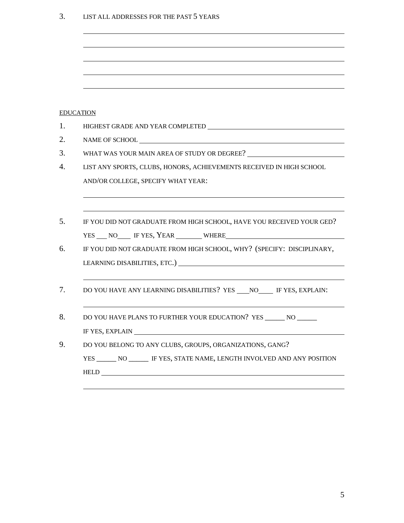| LIST ALL ADDRESSES FOR THE PAST 5 YEARS<br>3. |  |
|-----------------------------------------------|--|
|-----------------------------------------------|--|

| <b>EDUCATION</b>                                                                                                                                                                                                               |
|--------------------------------------------------------------------------------------------------------------------------------------------------------------------------------------------------------------------------------|
|                                                                                                                                                                                                                                |
|                                                                                                                                                                                                                                |
| WHAT WAS YOUR MAIN AREA OF STUDY OR DEGREE?                                                                                                                                                                                    |
| LIST ANY SPORTS, CLUBS, HONORS, ACHIEVEMENTS RECEIVED IN HIGH SCHOOL                                                                                                                                                           |
| AND/OR COLLEGE, SPECIFY WHAT YEAR:                                                                                                                                                                                             |
|                                                                                                                                                                                                                                |
|                                                                                                                                                                                                                                |
| IF YOU DID NOT GRADUATE FROM HIGH SCHOOL, HAVE YOU RECEIVED YOUR GED?                                                                                                                                                          |
|                                                                                                                                                                                                                                |
| IF YOU DID NOT GRADUATE FROM HIGH SCHOOL, WHY? (SPECIFY: DISCIPLINARY,                                                                                                                                                         |
|                                                                                                                                                                                                                                |
|                                                                                                                                                                                                                                |
| DO YOU HAVE ANY LEARNING DISABILITIES? YES NO IF YES, EXPLAIN:                                                                                                                                                                 |
|                                                                                                                                                                                                                                |
| DO YOU HAVE PLANS TO FURTHER YOUR EDUCATION? YES _______ NO                                                                                                                                                                    |
| IF YES, EXPLAIN NOW CONSERVED TO THE TEST OF THE SERVED OF THE TEST OF THE TEST OF THE TEST OF THE TEST OF THE TEST OF THE TEST OF THE TEST OF THE TEST OF THE TEST OF THE TEST OF THE TEST OF THE TEST OF THE TEST OF THE TES |
| DO YOU BELONG TO ANY CLUBS, GROUPS, ORGANIZATIONS, GANG?                                                                                                                                                                       |
| YES ________ NO _______ IF YES, STATE NAME, LENGTH INVOLVED AND ANY POSITION                                                                                                                                                   |
|                                                                                                                                                                                                                                |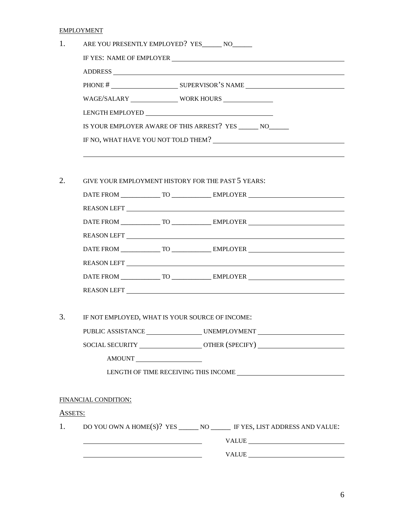EMPLOYMENT

| 1.      | ARE YOU PRESENTLY EMPLOYED? YES_______ NO_______                                                                                                                                                                               |
|---------|--------------------------------------------------------------------------------------------------------------------------------------------------------------------------------------------------------------------------------|
|         | IF YES: NAME OF EMPLOYER CONTRACTED AND THE VEHICLE THAT AND THE VEHICLE THAT AND THE VEHICLE THAT AND THE VEHICLE THAT AND THE VEHICLE THAT AND THE VEHICLE THAT AN AMELIAN THAT AND THE VEHICLE THAT AND THE VEHICLE THAT AN |
|         |                                                                                                                                                                                                                                |
|         |                                                                                                                                                                                                                                |
|         | WAGE/SALARY WORK HOURS                                                                                                                                                                                                         |
|         |                                                                                                                                                                                                                                |
|         | IS YOUR EMPLOYER AWARE OF THIS ARREST? YES _______ NO_______                                                                                                                                                                   |
|         |                                                                                                                                                                                                                                |
|         |                                                                                                                                                                                                                                |
| 2.      | GIVE YOUR EMPLOYMENT HISTORY FOR THE PAST 5 YEARS:                                                                                                                                                                             |
|         |                                                                                                                                                                                                                                |
|         |                                                                                                                                                                                                                                |
|         |                                                                                                                                                                                                                                |
|         |                                                                                                                                                                                                                                |
|         |                                                                                                                                                                                                                                |
|         |                                                                                                                                                                                                                                |
|         |                                                                                                                                                                                                                                |
|         |                                                                                                                                                                                                                                |
| 3.      | IF NOT EMPLOYED, WHAT IS YOUR SOURCE OF INCOME:                                                                                                                                                                                |
|         | PUBLIC ASSISTANCE UNEMPLOYMENT                                                                                                                                                                                                 |
|         | SOCIAL SECURITY _________________________OTHER (SPECIFY) _______________________                                                                                                                                               |
|         | AMOUNT                                                                                                                                                                                                                         |
|         |                                                                                                                                                                                                                                |
|         |                                                                                                                                                                                                                                |
|         | FINANCIAL CONDITION:                                                                                                                                                                                                           |
| ASSETS: |                                                                                                                                                                                                                                |
| 1.      |                                                                                                                                                                                                                                |
|         | $\begin{tabular}{c} \bf VALUE \end{tabular}$                                                                                                                                                                                   |
|         |                                                                                                                                                                                                                                |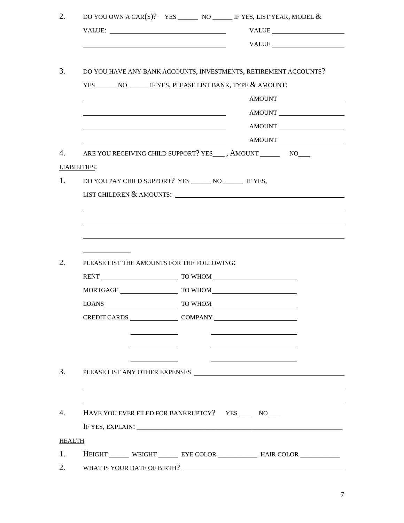|                     |                          |                                                                                                                                                                                                                               | VALUE                                                                            |
|---------------------|--------------------------|-------------------------------------------------------------------------------------------------------------------------------------------------------------------------------------------------------------------------------|----------------------------------------------------------------------------------|
|                     |                          | <u> 1989 - Johann Barbara, martin amerikan basar dan berasal dalam basar dalam basar dalam basar dalam basar dala</u>                                                                                                         |                                                                                  |
|                     |                          |                                                                                                                                                                                                                               | DO YOU HAVE ANY BANK ACCOUNTS, INVESTMENTS, RETIREMENT ACCOUNTS?                 |
|                     |                          |                                                                                                                                                                                                                               | YES ________ NO _______ IF YES, PLEASE LIST BANK, TYPE & AMOUNT:                 |
|                     |                          |                                                                                                                                                                                                                               | AMOUNT                                                                           |
|                     |                          | the control of the control of the control of the control of the control of the control of the control of the control of the control of the control of the control of the control of the control of the control of the control | AMOUNT                                                                           |
|                     |                          |                                                                                                                                                                                                                               | AMOUNT                                                                           |
|                     |                          |                                                                                                                                                                                                                               | AMOUNT                                                                           |
|                     |                          |                                                                                                                                                                                                                               | ARE YOU RECEIVING CHILD SUPPORT? YES___, AMOUNT __________ NO____                |
| <b>LIABILITIES:</b> |                          |                                                                                                                                                                                                                               |                                                                                  |
|                     |                          | DO YOU PAY CHILD SUPPORT? YES ________ NO ________ IF YES,                                                                                                                                                                    |                                                                                  |
|                     | LIST CHILDREN & AMOUNTS: |                                                                                                                                                                                                                               | <u> 1989 - Johann Stein, mars an deus Amerikaansk kommunister (</u>              |
|                     |                          |                                                                                                                                                                                                                               |                                                                                  |
|                     |                          |                                                                                                                                                                                                                               |                                                                                  |
|                     |                          |                                                                                                                                                                                                                               |                                                                                  |
|                     |                          |                                                                                                                                                                                                                               |                                                                                  |
|                     |                          |                                                                                                                                                                                                                               |                                                                                  |
|                     |                          |                                                                                                                                                                                                                               |                                                                                  |
|                     |                          | PLEASE LIST THE AMOUNTS FOR THE FOLLOWING:                                                                                                                                                                                    |                                                                                  |
|                     |                          |                                                                                                                                                                                                                               | RENT TO WHOM TO WHOM                                                             |
|                     |                          |                                                                                                                                                                                                                               | MORTGAGE TO WHOM                                                                 |
|                     | <b>LOANS</b>             | TO WHOM                                                                                                                                                                                                                       |                                                                                  |
|                     |                          |                                                                                                                                                                                                                               | CREDIT CARDS COMPANY COMPANY                                                     |
|                     |                          |                                                                                                                                                                                                                               |                                                                                  |
|                     |                          |                                                                                                                                                                                                                               |                                                                                  |
|                     |                          |                                                                                                                                                                                                                               |                                                                                  |
|                     |                          |                                                                                                                                                                                                                               |                                                                                  |
|                     |                          |                                                                                                                                                                                                                               |                                                                                  |
|                     |                          |                                                                                                                                                                                                                               |                                                                                  |
|                     |                          |                                                                                                                                                                                                                               | HAVE YOU EVER FILED FOR BANKRUPTCY? YES _____ NO                                 |
|                     |                          |                                                                                                                                                                                                                               |                                                                                  |
| <b>HEALTH</b>       |                          |                                                                                                                                                                                                                               |                                                                                  |
|                     |                          |                                                                                                                                                                                                                               | HEIGHT _______ WEIGHT ________ EYE COLOR ______________ HAIR COLOR _____________ |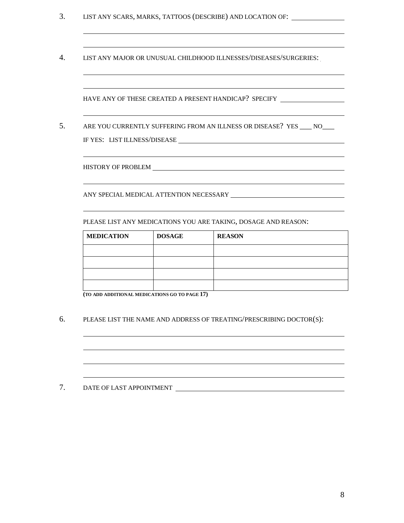- 3. LIST ANY SCARS, MARKS, TATTOOS (DESCRIBE) AND LOCATION OF:
- 4. LIST ANY MAJOR OR UNUSUAL CHILDHOOD ILLNESSES/DISEASES/SURGERIES:

HAVE ANY OF THESE CREATED A PRESENT HANDICAP? SPECIFY

5. ARE YOU CURRENTLY SUFFERING FROM AN ILLNESS OR DISEASE? YES \_\_\_ NO\_\_\_ IF YES: LIST ILLNESS/DISEASE

HISTORY OF PROBLEM

ANY SPECIAL MEDICAL ATTENTION NECESSARY

PLEASE LIST ANY MEDICATIONS YOU ARE TAKING, DOSAGE AND REASON:

| <b>MEDICATION</b> | <b>DOSAGE</b> | <b>REASON</b> |
|-------------------|---------------|---------------|
|                   |               |               |
|                   |               |               |
|                   |               |               |
|                   |               |               |

**(TO ADD ADDITIONAL MEDICATIONS GO TO PAGE 17)**

6. PLEASE LIST THE NAME AND ADDRESS OF TREATING/PRESCRIBING DOCTOR(S):

7. DATE OF LAST APPOINTMENT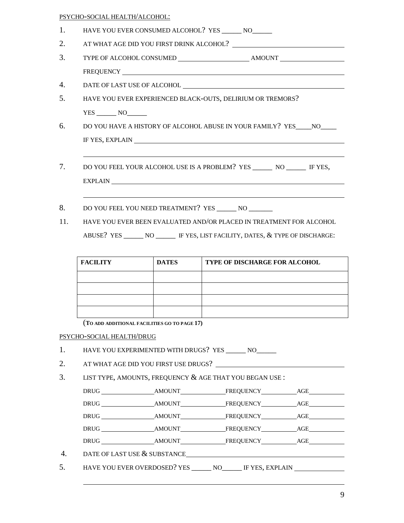|                                                                     |                                              |              | HAVE YOU EVER CONSUMED ALCOHOL? YES _______ NO_______                            |  |  |  |
|---------------------------------------------------------------------|----------------------------------------------|--------------|----------------------------------------------------------------------------------|--|--|--|
|                                                                     |                                              |              |                                                                                  |  |  |  |
|                                                                     |                                              |              |                                                                                  |  |  |  |
|                                                                     |                                              |              |                                                                                  |  |  |  |
|                                                                     |                                              |              |                                                                                  |  |  |  |
|                                                                     |                                              |              | HAVE YOU EVER EXPERIENCED BLACK-OUTS, DELIRIUM OR TREMORS?                       |  |  |  |
|                                                                     | $YES$ NO                                     |              |                                                                                  |  |  |  |
|                                                                     |                                              |              | DO YOU HAVE A HISTORY OF ALCOHOL ABUSE IN YOUR FAMILY? YES NO                    |  |  |  |
|                                                                     |                                              |              | IF YES, EXPLAIN NOW CONSUMER THE YES, EXPLAIN                                    |  |  |  |
|                                                                     |                                              |              |                                                                                  |  |  |  |
|                                                                     |                                              |              | DO YOU FEEL YOUR ALCOHOL USE IS A PROBLEM? YES ________ NO _______ IF YES,       |  |  |  |
|                                                                     |                                              |              | EXPLAIN NO ANNO 1999 EXPLAIN                                                     |  |  |  |
|                                                                     |                                              |              |                                                                                  |  |  |  |
|                                                                     |                                              |              | DO YOU FEEL YOU NEED TREATMENT? YES _______ NO _______                           |  |  |  |
|                                                                     |                                              |              |                                                                                  |  |  |  |
| HAVE YOU EVER BEEN EVALUATED AND/OR PLACED IN TREATMENT FOR ALCOHOL |                                              |              |                                                                                  |  |  |  |
|                                                                     |                                              |              |                                                                                  |  |  |  |
|                                                                     |                                              |              | ABUSE? YES _______ NO _______ IF YES, LIST FACILITY, DATES, & TYPE OF DISCHARGE: |  |  |  |
|                                                                     |                                              |              |                                                                                  |  |  |  |
|                                                                     | <b>FACILITY</b>                              | <b>DATES</b> | TYPE OF DISCHARGE FOR ALCOHOL                                                    |  |  |  |
|                                                                     |                                              |              |                                                                                  |  |  |  |
|                                                                     |                                              |              |                                                                                  |  |  |  |
|                                                                     |                                              |              |                                                                                  |  |  |  |
|                                                                     |                                              |              |                                                                                  |  |  |  |
|                                                                     | (TO ADD ADDITIONAL FACILITIES GO TO PAGE 17) |              |                                                                                  |  |  |  |
|                                                                     | PSYCHO-SOCIAL HEALTH/DRUG                    |              |                                                                                  |  |  |  |
|                                                                     |                                              |              | HAVE YOU EXPERIMENTED WITH DRUGS? YES _______ NO_______                          |  |  |  |
|                                                                     |                                              |              | AT WHAT AGE DID YOU FIRST USE DRUGS?                                             |  |  |  |
|                                                                     |                                              |              | LIST TYPE, AMOUNTS, FREQUENCY & AGE THAT YOU BEGAN USE :                         |  |  |  |
|                                                                     |                                              |              |                                                                                  |  |  |  |
|                                                                     |                                              |              |                                                                                  |  |  |  |
|                                                                     |                                              |              |                                                                                  |  |  |  |
|                                                                     |                                              |              |                                                                                  |  |  |  |
|                                                                     | DATE OF LAST USE & SUBSTANCE                 |              |                                                                                  |  |  |  |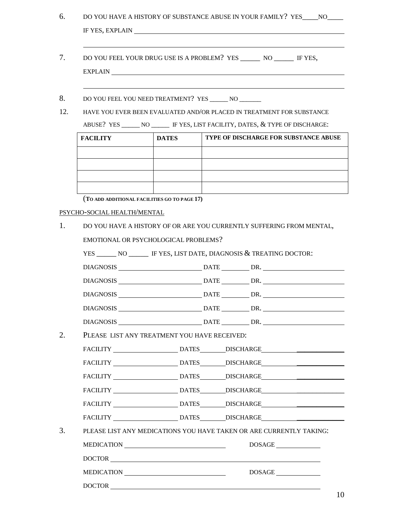| 6.        |                             |                                                                                                                                                                                                                                                                                                                                                                                   |  | DO YOU HAVE A HISTORY OF SUBSTANCE ABUSE IN YOUR FAMILY? YES NO                                                                                                       |  |  |  |
|-----------|-----------------------------|-----------------------------------------------------------------------------------------------------------------------------------------------------------------------------------------------------------------------------------------------------------------------------------------------------------------------------------------------------------------------------------|--|-----------------------------------------------------------------------------------------------------------------------------------------------------------------------|--|--|--|
| 7.        |                             | DO YOU FEEL YOUR DRUG USE IS A PROBLEM? YES ________ NO _______ IF YES,<br><b>EXPLAIN</b>                                                                                                                                                                                                                                                                                         |  |                                                                                                                                                                       |  |  |  |
| 8.<br>12. |                             | DO YOU FEEL YOU NEED TREATMENT? YES _______ NO _______<br>HAVE YOU EVER BEEN EVALUATED AND/OR PLACED IN TREATMENT FOR SUBSTANCE<br>ABUSE? YES ______ NO ______ IF YES, LIST FACILITY, DATES, & TYPE OF DISCHARGE:                                                                                                                                                                 |  |                                                                                                                                                                       |  |  |  |
|           | <b>FACILITY</b>             | <b>DATES</b>                                                                                                                                                                                                                                                                                                                                                                      |  | TYPE OF DISCHARGE FOR SUBSTANCE ABUSE                                                                                                                                 |  |  |  |
|           |                             |                                                                                                                                                                                                                                                                                                                                                                                   |  |                                                                                                                                                                       |  |  |  |
|           |                             |                                                                                                                                                                                                                                                                                                                                                                                   |  |                                                                                                                                                                       |  |  |  |
|           |                             |                                                                                                                                                                                                                                                                                                                                                                                   |  |                                                                                                                                                                       |  |  |  |
|           |                             | (TO ADD ADDITIONAL FACILITIES GO TO PAGE 17)                                                                                                                                                                                                                                                                                                                                      |  |                                                                                                                                                                       |  |  |  |
|           | PSYCHO-SOCIAL HEALTH/MENTAL |                                                                                                                                                                                                                                                                                                                                                                                   |  |                                                                                                                                                                       |  |  |  |
|           |                             |                                                                                                                                                                                                                                                                                                                                                                                   |  | DO YOU HAVE A HISTORY OF OR ARE YOU CURRENTLY SUFFERING FROM MENTAL,                                                                                                  |  |  |  |
|           |                             | EMOTIONAL OR PSYCHOLOGICAL PROBLEMS?                                                                                                                                                                                                                                                                                                                                              |  |                                                                                                                                                                       |  |  |  |
|           |                             |                                                                                                                                                                                                                                                                                                                                                                                   |  | YES ________ NO ________ IF YES, LIST DATE, DIAGNOSIS & TREATING DOCTOR:                                                                                              |  |  |  |
|           |                             |                                                                                                                                                                                                                                                                                                                                                                                   |  |                                                                                                                                                                       |  |  |  |
|           |                             |                                                                                                                                                                                                                                                                                                                                                                                   |  |                                                                                                                                                                       |  |  |  |
|           |                             |                                                                                                                                                                                                                                                                                                                                                                                   |  | DIAGNOSIS DATE DR.                                                                                                                                                    |  |  |  |
|           |                             |                                                                                                                                                                                                                                                                                                                                                                                   |  |                                                                                                                                                                       |  |  |  |
|           |                             |                                                                                                                                                                                                                                                                                                                                                                                   |  |                                                                                                                                                                       |  |  |  |
|           |                             | PLEASE LIST ANY TREATMENT YOU HAVE RECEIVED:                                                                                                                                                                                                                                                                                                                                      |  |                                                                                                                                                                       |  |  |  |
|           |                             |                                                                                                                                                                                                                                                                                                                                                                                   |  | FACILITY DATES DISCHARGE                                                                                                                                              |  |  |  |
|           |                             |                                                                                                                                                                                                                                                                                                                                                                                   |  | FACILITY DATES DISCHARGE                                                                                                                                              |  |  |  |
|           |                             |                                                                                                                                                                                                                                                                                                                                                                                   |  |                                                                                                                                                                       |  |  |  |
|           |                             |                                                                                                                                                                                                                                                                                                                                                                                   |  |                                                                                                                                                                       |  |  |  |
|           |                             |                                                                                                                                                                                                                                                                                                                                                                                   |  |                                                                                                                                                                       |  |  |  |
|           |                             |                                                                                                                                                                                                                                                                                                                                                                                   |  |                                                                                                                                                                       |  |  |  |
|           |                             |                                                                                                                                                                                                                                                                                                                                                                                   |  |                                                                                                                                                                       |  |  |  |
|           |                             |                                                                                                                                                                                                                                                                                                                                                                                   |  | FACILITY _______________________DATES_________DISCHARGE_________________________<br>FACILITY _____________________________DATES________DISCHARGE_____________________ |  |  |  |
|           |                             |                                                                                                                                                                                                                                                                                                                                                                                   |  | PLEASE LIST ANY MEDICATIONS YOU HAVE TAKEN OR ARE CURRENTLY TAKING:                                                                                                   |  |  |  |
|           |                             | $\begin{picture}(150,10) \put(0,0){\dashbox{0.5}(10,0){ }} \put(150,0){\circle{10}} \put(150,0){\circle{10}} \put(150,0){\circle{10}} \put(150,0){\circle{10}} \put(150,0){\circle{10}} \put(150,0){\circle{10}} \put(150,0){\circle{10}} \put(150,0){\circle{10}} \put(150,0){\circle{10}} \put(150,0){\circle{10}} \put(150,0){\circle{10}} \put(150,0){\circle{10}} \put(150,$ |  |                                                                                                                                                                       |  |  |  |
|           |                             | MEDICATION                                                                                                                                                                                                                                                                                                                                                                        |  | DOSAGE                                                                                                                                                                |  |  |  |

10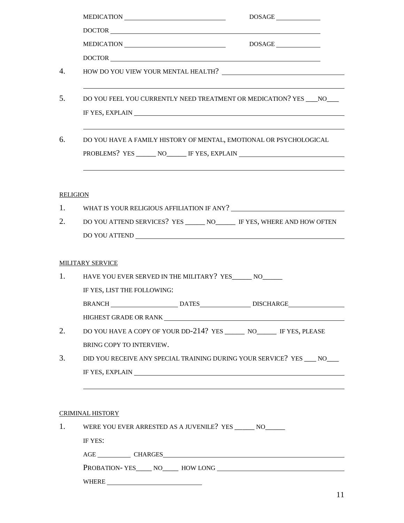|                  |                                                                                                                                                                                                                                      | DOSAGE                                                                           |
|------------------|--------------------------------------------------------------------------------------------------------------------------------------------------------------------------------------------------------------------------------------|----------------------------------------------------------------------------------|
|                  | DOCTOR                                                                                                                                                                                                                               |                                                                                  |
|                  | $\begin{tabular}{c} \bf MEDICATION \end{tabular}$                                                                                                                                                                                    | DOSAGE                                                                           |
|                  | DOCTOR                                                                                                                                                                                                                               |                                                                                  |
| $\overline{4}$ . |                                                                                                                                                                                                                                      |                                                                                  |
| 5.               | DO YOU FEEL YOU CURRENTLY NEED TREATMENT OR MEDICATION? YES NO                                                                                                                                                                       |                                                                                  |
| 6.               | DO YOU HAVE A FAMILY HISTORY OF MENTAL, EMOTIONAL OR PSYCHOLOGICAL<br>PROBLEMS? YES _______ NO_______ IF YES, EXPLAIN _________________________________                                                                              | ,我们也不会有什么。""我们的人,我们也不会有什么?""我们的人,我们也不会有什么?""我们的人,我们也不会有什么?""我们的人,我们也不会有什么?""我们的人 |
|                  | <b>RELIGION</b>                                                                                                                                                                                                                      |                                                                                  |
| 1.               |                                                                                                                                                                                                                                      |                                                                                  |
| 2.               | DO YOU ATTEND SERVICES? YES ______ NO______ IF YES, WHERE AND HOW OFTEN                                                                                                                                                              |                                                                                  |
|                  |                                                                                                                                                                                                                                      |                                                                                  |
|                  | <b>MILITARY SERVICE</b>                                                                                                                                                                                                              |                                                                                  |
|                  | 1. HAVE YOU EVER SERVED IN THE MILITARY? YES NO                                                                                                                                                                                      |                                                                                  |
|                  | IF YES, LIST THE FOLLOWING:                                                                                                                                                                                                          |                                                                                  |
|                  | BRANCH DATES                                                                                                                                                                                                                         | <b>DISCHARGE</b>                                                                 |
|                  | HIGHEST GRADE OR RANK <b>AND ARRAIGHT AND ARRAIGHT AT A STATE OF A STATE OF A STATE OF A STATE OF A STATE OF A STATE OF A STATE OF A STATE OF A STATE OF A STATE OF A STATE OF A STATE OF A STATE OF A STATE OF A STATE OF A STA</b> |                                                                                  |
| 2.               | DO YOU HAVE A COPY OF YOUR DD-214? YES _______ NO_______ IF YES, PLEASE                                                                                                                                                              |                                                                                  |
|                  | BRING COPY TO INTERVIEW.                                                                                                                                                                                                             |                                                                                  |
| 3.               | DID YOU RECEIVE ANY SPECIAL TRAINING DURING YOUR SERVICE? YES ____ NO____                                                                                                                                                            |                                                                                  |
|                  | IF YES, EXPLAIN PRESERVED AND THE VEHICLE IN THE VEHICLE IN THE VEHICLE IN THE VEHICLE IN THE VEHICLE IN THE VEHICLE IN THE VEHICLE IN THE VEHICLE IN THE VEHICLE IN THE VEHICLE IN THE VEHICLE IN THE VEHICLE IN THE VEHICLE        |                                                                                  |
|                  |                                                                                                                                                                                                                                      |                                                                                  |
|                  |                                                                                                                                                                                                                                      |                                                                                  |
|                  | <b>CRIMINAL HISTORY</b>                                                                                                                                                                                                              |                                                                                  |
| 1.               | WERE YOU EVER ARRESTED AS A JUVENILE? YES _______ NO_______                                                                                                                                                                          |                                                                                  |
|                  | IF YES:                                                                                                                                                                                                                              |                                                                                  |
|                  | AGE CHARGES CHARGES                                                                                                                                                                                                                  |                                                                                  |
|                  | PROBATION-YES______ NO_______ HOW LONG                                                                                                                                                                                               |                                                                                  |
|                  |                                                                                                                                                                                                                                      |                                                                                  |
|                  |                                                                                                                                                                                                                                      |                                                                                  |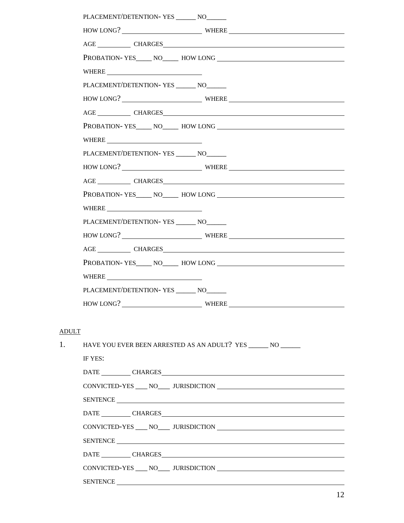|       | PLACEMENT/DETENTION-YES _______ NO______                                                                                                                                                                                       |
|-------|--------------------------------------------------------------------------------------------------------------------------------------------------------------------------------------------------------------------------------|
|       | HOW LONG? WHERE                                                                                                                                                                                                                |
|       | AGE ________________ CHARGES                                                                                                                                                                                                   |
|       |                                                                                                                                                                                                                                |
|       |                                                                                                                                                                                                                                |
|       | PLACEMENT/DETENTION-YES _______ NO______                                                                                                                                                                                       |
|       |                                                                                                                                                                                                                                |
|       |                                                                                                                                                                                                                                |
|       |                                                                                                                                                                                                                                |
|       |                                                                                                                                                                                                                                |
|       | PLACEMENT/DETENTION-YES ________ NO_______                                                                                                                                                                                     |
|       | HOW LONG? WHERE WHERE                                                                                                                                                                                                          |
|       | AGE CHARGES CHARGES                                                                                                                                                                                                            |
|       |                                                                                                                                                                                                                                |
|       | $\text{WHERE} \underline{\hspace{1cm}}$                                                                                                                                                                                        |
|       | PLACEMENT/DETENTION-YES _______ NO_______                                                                                                                                                                                      |
|       |                                                                                                                                                                                                                                |
|       | AGE CHARGES CHARGES                                                                                                                                                                                                            |
|       |                                                                                                                                                                                                                                |
|       |                                                                                                                                                                                                                                |
|       | PLACEMENT/DETENTION-YES NO                                                                                                                                                                                                     |
|       | HOW LONG? WHERE                                                                                                                                                                                                                |
|       |                                                                                                                                                                                                                                |
| ADULT |                                                                                                                                                                                                                                |
| 1.    | HAVE YOU EVER BEEN ARRESTED AS AN ADULT? YES ______ NO ______                                                                                                                                                                  |
|       | IF YES:                                                                                                                                                                                                                        |
|       |                                                                                                                                                                                                                                |
|       |                                                                                                                                                                                                                                |
|       | SENTENCE                                                                                                                                                                                                                       |
|       | DATE CHARGES CHARGES                                                                                                                                                                                                           |
|       |                                                                                                                                                                                                                                |
|       | SENTENCE CONTRACTED AND RESERVE AND RESERVE AND RESERVE AND RESERVE AND RESERVE AND RESERVE AND RESERVE AND RESERVE AND RESERVE AND RESERVE AND RESERVE AND RESERVE AND RESERVE AND RESPONDING A REPORT OF A STRUCK OF A STRUC |
|       |                                                                                                                                                                                                                                |
|       |                                                                                                                                                                                                                                |
|       |                                                                                                                                                                                                                                |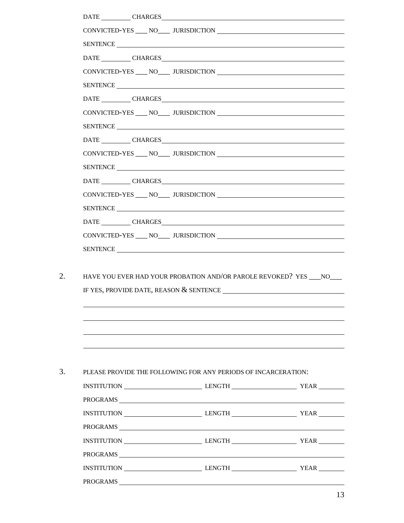| SENTENCE<br>DATE CHARGES CHARGES<br>CONVICTED-YES NO URISDICTION<br>SENTENCE LAND CONTROL CONTROL CONTROL CONTROL CONTROL CONTROL CONTROL CONTROL CONTROL CONTROL CONTROL CONTROL CONTROL CONTROL CONTROL CONTROL CONTROL CONTROL CONTROL CONTROL CONTROL CONTROL CONTROL CONTROL CONTROL CONTROL<br>DATE CHARGES CHARGES<br>CONVICTED-YES ____ NO____ JURISDICTION<br>SENTENCE<br>SENTENCE<br>DATE _______________CHARGES<br>CONVICTED-YES ___ NO____ JURISDICTION<br>SENTENCE<br>SENTENCE<br>HAVE YOU EVER HAD YOUR PROBATION AND/OR PAROLE REVOKED? YES ____ NO____<br>PLEASE PROVIDE THE FOLLOWING FOR ANY PERIODS OF INCARCERATION:<br>INSTITUTION LENGTH LENGTH YEAR<br>PROGRAMS<br>INSTITUTION LENGTH LENGTH YEAR<br>INSTITUTION LENGTH LENGTH YEAR |  | DATE CHARGES CHARGES |  |
|------------------------------------------------------------------------------------------------------------------------------------------------------------------------------------------------------------------------------------------------------------------------------------------------------------------------------------------------------------------------------------------------------------------------------------------------------------------------------------------------------------------------------------------------------------------------------------------------------------------------------------------------------------------------------------------------------------------------------------------------------------|--|----------------------|--|
|                                                                                                                                                                                                                                                                                                                                                                                                                                                                                                                                                                                                                                                                                                                                                            |  |                      |  |
|                                                                                                                                                                                                                                                                                                                                                                                                                                                                                                                                                                                                                                                                                                                                                            |  |                      |  |
|                                                                                                                                                                                                                                                                                                                                                                                                                                                                                                                                                                                                                                                                                                                                                            |  |                      |  |
|                                                                                                                                                                                                                                                                                                                                                                                                                                                                                                                                                                                                                                                                                                                                                            |  |                      |  |
|                                                                                                                                                                                                                                                                                                                                                                                                                                                                                                                                                                                                                                                                                                                                                            |  |                      |  |
|                                                                                                                                                                                                                                                                                                                                                                                                                                                                                                                                                                                                                                                                                                                                                            |  |                      |  |
|                                                                                                                                                                                                                                                                                                                                                                                                                                                                                                                                                                                                                                                                                                                                                            |  |                      |  |
|                                                                                                                                                                                                                                                                                                                                                                                                                                                                                                                                                                                                                                                                                                                                                            |  |                      |  |
|                                                                                                                                                                                                                                                                                                                                                                                                                                                                                                                                                                                                                                                                                                                                                            |  |                      |  |
|                                                                                                                                                                                                                                                                                                                                                                                                                                                                                                                                                                                                                                                                                                                                                            |  |                      |  |
|                                                                                                                                                                                                                                                                                                                                                                                                                                                                                                                                                                                                                                                                                                                                                            |  |                      |  |
|                                                                                                                                                                                                                                                                                                                                                                                                                                                                                                                                                                                                                                                                                                                                                            |  |                      |  |
|                                                                                                                                                                                                                                                                                                                                                                                                                                                                                                                                                                                                                                                                                                                                                            |  |                      |  |
|                                                                                                                                                                                                                                                                                                                                                                                                                                                                                                                                                                                                                                                                                                                                                            |  |                      |  |
|                                                                                                                                                                                                                                                                                                                                                                                                                                                                                                                                                                                                                                                                                                                                                            |  |                      |  |
|                                                                                                                                                                                                                                                                                                                                                                                                                                                                                                                                                                                                                                                                                                                                                            |  |                      |  |
|                                                                                                                                                                                                                                                                                                                                                                                                                                                                                                                                                                                                                                                                                                                                                            |  |                      |  |
|                                                                                                                                                                                                                                                                                                                                                                                                                                                                                                                                                                                                                                                                                                                                                            |  |                      |  |
|                                                                                                                                                                                                                                                                                                                                                                                                                                                                                                                                                                                                                                                                                                                                                            |  |                      |  |
|                                                                                                                                                                                                                                                                                                                                                                                                                                                                                                                                                                                                                                                                                                                                                            |  |                      |  |
|                                                                                                                                                                                                                                                                                                                                                                                                                                                                                                                                                                                                                                                                                                                                                            |  |                      |  |
|                                                                                                                                                                                                                                                                                                                                                                                                                                                                                                                                                                                                                                                                                                                                                            |  |                      |  |
|                                                                                                                                                                                                                                                                                                                                                                                                                                                                                                                                                                                                                                                                                                                                                            |  |                      |  |
|                                                                                                                                                                                                                                                                                                                                                                                                                                                                                                                                                                                                                                                                                                                                                            |  |                      |  |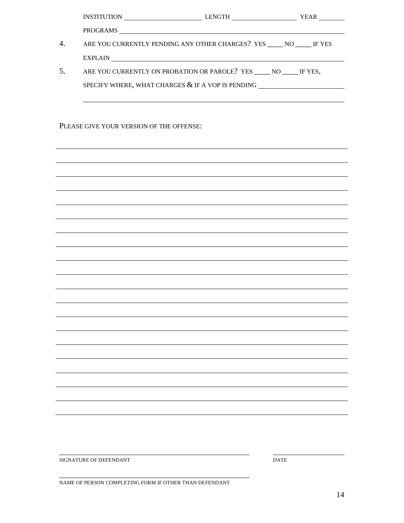| $\overline{4}$ . |                                          | ARE YOU CURRENTLY PENDING ANY OTHER CHARGES? YES _____ NO _____ IF YES                                |  |
|------------------|------------------------------------------|-------------------------------------------------------------------------------------------------------|--|
|                  |                                          |                                                                                                       |  |
| 5.               |                                          | ARE YOU CURRENTLY ON PROBATION OR PAROLE? YES _____ NO _____ IF YES,                                  |  |
|                  |                                          | SPECIFY WHERE, WHAT CHARGES $\&$ IF A VOP IS PENDING $\_\_\_\_\_\_\_\_\_\_\_\_\_\_\_\_\_\_\_\_\_\_\_$ |  |
|                  |                                          |                                                                                                       |  |
|                  |                                          |                                                                                                       |  |
|                  | PLEASE GIVE YOUR VERSION OF THE OFFENSE: |                                                                                                       |  |
|                  |                                          |                                                                                                       |  |
|                  |                                          |                                                                                                       |  |
|                  |                                          |                                                                                                       |  |
|                  |                                          |                                                                                                       |  |
|                  |                                          |                                                                                                       |  |
|                  |                                          |                                                                                                       |  |
|                  |                                          |                                                                                                       |  |
|                  |                                          |                                                                                                       |  |
|                  |                                          |                                                                                                       |  |
|                  |                                          |                                                                                                       |  |
|                  |                                          |                                                                                                       |  |
|                  |                                          |                                                                                                       |  |
|                  |                                          |                                                                                                       |  |
|                  |                                          |                                                                                                       |  |
|                  |                                          |                                                                                                       |  |
|                  |                                          |                                                                                                       |  |
|                  |                                          |                                                                                                       |  |
|                  |                                          |                                                                                                       |  |
|                  |                                          |                                                                                                       |  |
|                  |                                          |                                                                                                       |  |
|                  |                                          |                                                                                                       |  |
|                  |                                          |                                                                                                       |  |
|                  |                                          |                                                                                                       |  |

SIGNATURE OF DEFENDANT DATE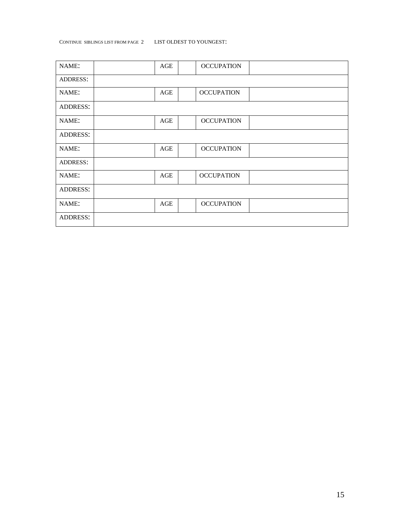## CONTINUE SIBLINGS LIST FROM PAGE 2 LIST OLDEST TO YOUNGEST:

| NAME:           | AGE | <b>OCCUPATION</b> |  |
|-----------------|-----|-------------------|--|
| <b>ADDRESS:</b> |     |                   |  |
| NAME:           | AGE | <b>OCCUPATION</b> |  |
| <b>ADDRESS:</b> |     |                   |  |
| NAME:           | AGE | <b>OCCUPATION</b> |  |
| <b>ADDRESS:</b> |     |                   |  |
| NAME:           | AGE | <b>OCCUPATION</b> |  |
| <b>ADDRESS:</b> |     |                   |  |
| NAME:           | AGE | <b>OCCUPATION</b> |  |
| <b>ADDRESS:</b> |     |                   |  |
| NAME:           | AGE | <b>OCCUPATION</b> |  |
| <b>ADDRESS:</b> |     |                   |  |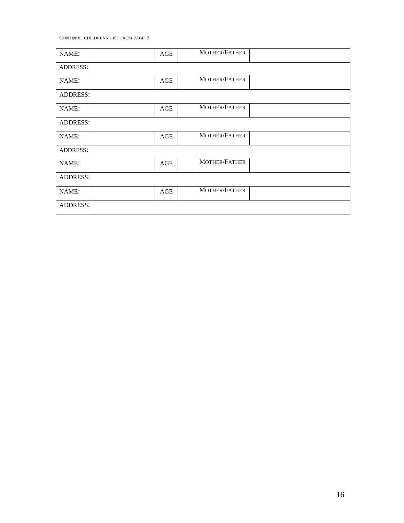CONTINUE CHILDRENS LIST FROM PAGE 3

| NAME:           | $\mathbf{AGE}$ | MOTHER/FATHER |
|-----------------|----------------|---------------|
| <b>ADDRESS:</b> |                |               |
| NAME:           | $\mathbf{AGE}$ | MOTHER/FATHER |
| <b>ADDRESS:</b> |                |               |
| NAME:           | AGE            | MOTHER/FATHER |
| <b>ADDRESS:</b> |                |               |
| NAME:           | AGE            | MOTHER/FATHER |
| <b>ADDRESS:</b> |                |               |
| NAME:           | $\mathbf{AGE}$ | MOTHER/FATHER |
| <b>ADDRESS:</b> |                |               |
| NAME:           | AGE            | MOTHER/FATHER |
| <b>ADDRESS:</b> |                |               |